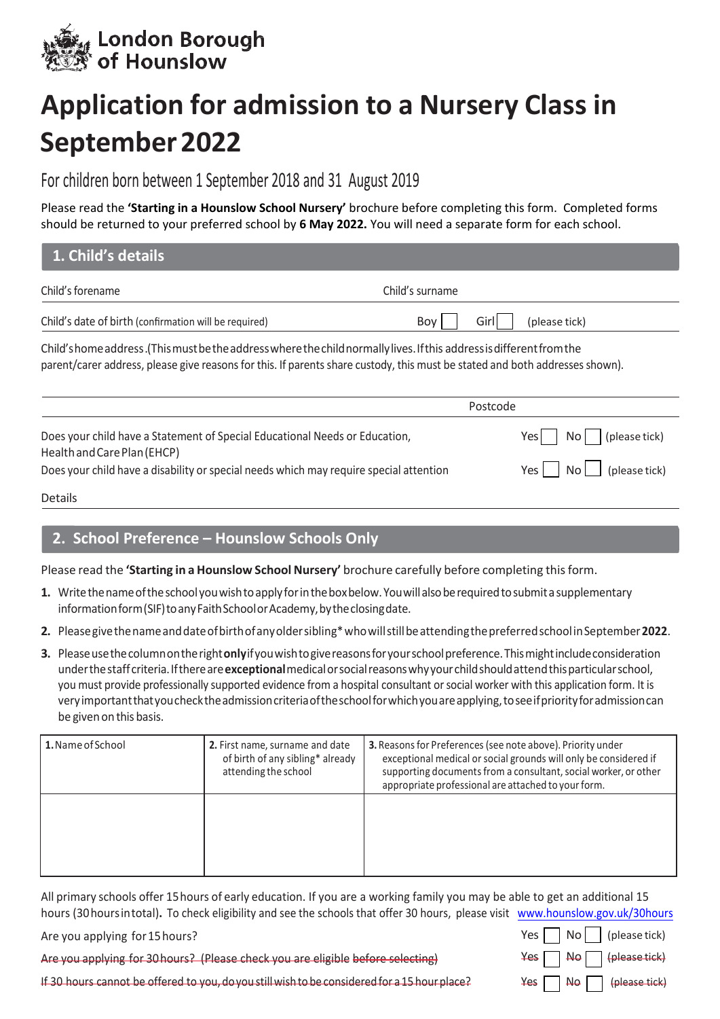

## **Application for admission to a Nursery Class in September 2022**

## For children born between 1 September 2018 and 31 August 2019

Please read the **'Starting in a Hounslow School Nursery'** brochure before completing this form. Completed forms should be returned to your preferred school by **6 May 2022.** You will need a separate form for each school.

| 1. Child's details                                                                                                                                                                                                                                    |                              |
|-------------------------------------------------------------------------------------------------------------------------------------------------------------------------------------------------------------------------------------------------------|------------------------------|
| Child's forename                                                                                                                                                                                                                                      | Child's surname              |
| Child's date of birth (confirmation will be required)                                                                                                                                                                                                 | Girl<br>Boy<br>(please tick) |
| Child's home address .(This must be the address where the child normally lives. If this address is different from the<br>parent/carer address, please give reasons for this. If parents share custody, this must be stated and both addresses shown). |                              |
|                                                                                                                                                                                                                                                       | Postcode                     |
| Does your child have a Statement of Special Educational Needs or Education,<br>Health and Care Plan (EHCP)                                                                                                                                            | (please tick)<br>Yes<br>No   |
| Does your child have a disability or special needs which may require special attention                                                                                                                                                                | (please tick)<br>Yes l<br>No |

## Details

## **2. School Preference – Hounslow Schools Only**

Please read the **'Starting in a Hounslow School Nursery'** brochure carefully before completing this form.

- **1.** Writethenameoftheschoolyouwishtoapplyforintheboxbelow.Youwillalsoberequiredtosubmitasupplementary information form (SIF) to any Faith School or Academy, by the closing date.
- **2.** Pleasegivethenameanddateofbirthofanyoldersibling\*whowillstillbeattendingthepreferredschool in September **2022**.
- **3.** Please use the column on the right only if you wish to give reasons for your school preference. This might include consideration underthestaffcriteria.Ifthereare**exceptional**medicalorsocialreasonswhyyourchildshouldattendthisparticularschool, you must provide professionally supported evidence from a hospital consultant orsocial worker with this application form. It is veryimportantthatyouchecktheadmissioncriteriaoftheschoolforwhichyouareapplying,toseeifpriorityforadmissioncan be given on this basis.

| 1. Name of School | 2. First name, surname and date<br>of birth of any sibling* already<br>attending the school | <b>3.</b> Reasons for Preferences (see note above). Priority under<br>exceptional medical or social grounds will only be considered if<br>supporting documents from a consultant, social worker, or other<br>appropriate professional are attached to your form. |
|-------------------|---------------------------------------------------------------------------------------------|------------------------------------------------------------------------------------------------------------------------------------------------------------------------------------------------------------------------------------------------------------------|
|                   |                                                                                             |                                                                                                                                                                                                                                                                  |

All primary schools offer 15hours of early education. If you are a working family you may be able to get an additional 15 hours (30 hours intotal)**.** To check eligibility and see the schools that offer 30 hours, plea[se visit www.hounslow.gov.uk/30](http://www.hounslow.gov.uk/30hours)hours

Are you applying for15hours?

Are you applying for 30hours? (Please check you are eligible before selecting)

If 30 hours cannot be offered to you, doyou still wish tobe considered for a 15 hour place?

|  |  | Yes $\Box$ No $\Box$ (please tick)                                  |
|--|--|---------------------------------------------------------------------|
|  |  | $\textsf{Yes} \ \Box \ \textsf{No} \ \Box \ \textsf{(please tick)}$ |
|  |  | $Yes \frown \mathsf{No} \frown \{\text{please tick}\}$              |